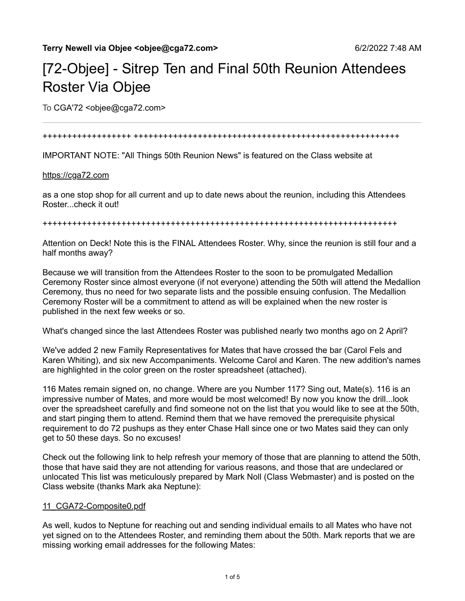# [72-Objee] - Sitrep Ten and Final 50th Reunion Attendees Roster Via Objee

To CGA'72 < objee@cga72.com>

#### ++++++++++++++++++ ++++++++++++++++++++++++++++++++++++++++++++++++++++++

IMPORTANT NOTE: "All Things 50th Reunion News" is featured on the Class website at

#### [https://cga72.com](https://cga72.com/)

as a one stop shop for all current and up to date news about the reunion, including this Attendees Roster...check it out!

++++++++++++++++++++++++++++++++++++++++++++++++++++++++++++++++++++++++

Attention on Deck! Note this is the FINAL Attendees Roster. Why, since the reunion is still four and a half months away?

Because we will transition from the Attendees Roster to the soon to be promulgated Medallion Ceremony Roster since almost everyone (if not everyone) attending the 50th will attend the Medallion Ceremony, thus no need for two separate lists and the possible ensuing confusion. The Medallion Ceremony Roster will be a commitment to attend as will be explained when the new roster is published in the next few weeks or so.

What's changed since the last Attendees Roster was published nearly two months ago on 2 April?

We've added 2 new Family Representatives for Mates that have crossed the bar (Carol Fels and Karen Whiting), and six new Accompaniments. Welcome Carol and Karen. The new addition's names are highlighted in the color green on the roster spreadsheet (attached).

116 Mates remain signed on, no change. Where are you Number 117? Sing out, Mate(s). 116 is an impressive number of Mates, and more would be most welcomed! By now you know the drill...look over the spreadsheet carefully and find someone not on the list that you would like to see at the 50th, and start pinging them to attend. Remind them that we have removed the prerequisite physical requirement to do 72 pushups as they enter Chase Hall since one or two Mates said they can only get to 50 these days. So no excuses!

Check out the following link to help refresh your memory of those that are planning to attend the 50th, those that have said they are not attending for various reasons, and those that are undeclared or unlocated This list was meticulously prepared by Mark Noll (Class Webmaster) and is posted on the Class website (thanks Mark aka Neptune):

#### [11\\_CGA72-Composite0.pdf](https://cga72.com/11_CGA72-Composite0.pdf)

As well, kudos to Neptune for reaching out and sending individual emails to all Mates who have not yet signed on to the Attendees Roster, and reminding them about the 50th. Mark reports that we are missing working email addresses for the following Mates: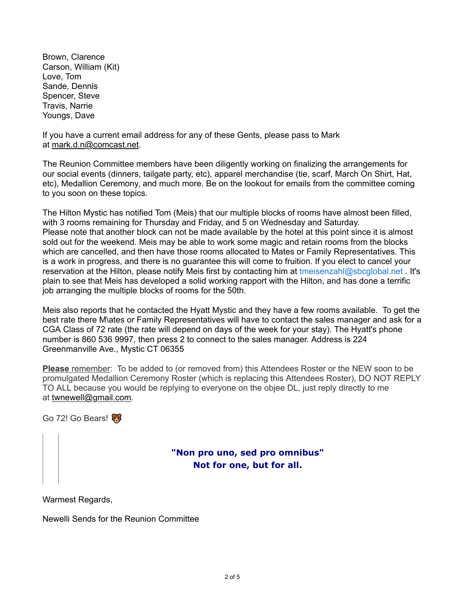Brown, Clarence Carson, William (Kit) Love, Tom Sande, Dennis Spencer, Steve Travis, Narrie Youngs, Dave

If you have a current email address for any of these Gents, please pass to Mark at [mark.d.n@comcast.net.](mailto:mark.d.n@comcast.net)

The Reunion Committee members have been diligently working on finalizing the arrangements for our social events (dinners, tailgate party, etc), apparel merchandise (tie, scarf, March On Shirt, Hat, etc), Medallion Ceremony, and much more. Be on the lookout for emails from the committee coming to you soon on these topics.

The Hilton Mystic has notified Tom (Meis) that our multiple blocks of rooms have almost been filled, with 3 rooms remaining for Thursday and Friday, and 5 on Wednesday and Saturday. Please note that another block can not be made available by the hotel at this point since it is almost sold out for the weekend. Meis may be able to work some magic and retain rooms from the blocks which are cancelled, and then have those rooms allocated to Mates or Family Representatives. This is a work in progress, and there is no guarantee this will come to fruition. If you elect to cancel your reservation at the Hilton, please notify Meis first by contacting him at [tmeisenzahl@sbcglobal.net](mailto:tmeisenzahl@sbcglobal.net) . It's plain to see that Meis has developed a solid working rapport with the Hilton, and has done a terrific job arranging the multiple blocks of rooms for the 50th.

Meis also reports that he contacted the Hyatt Mystic and they have a few rooms available. To get the best rate there M\ates or Family Representatives will have to contact the sales manager and ask for a CGA Class of 72 rate (the rate will depend on days of the week for your stay). The Hyatt's phone number is 860 536 9997, then press 2 to connect to the sales manager. Address is 224 Greenmanville Ave., Mystic CT 06355

**Please** remember: To be added to (or removed from) this Attendees Roster or the NEW soon to be promulgated Medallion Ceremony Roster (which is replacing this Attendees Roster), DO NOT REPLY TO ALL because you would be replying to everyone on the objee DL, just reply directly to me at [twnewell@gmail.com.](mailto:twnewell@gmail.com)

Go 72! Go Bears!

# **"Non pro uno, sed pro omnibus" Not for one, but for all.**

Warmest Regards,

Newelli Sends for the Reunion Committee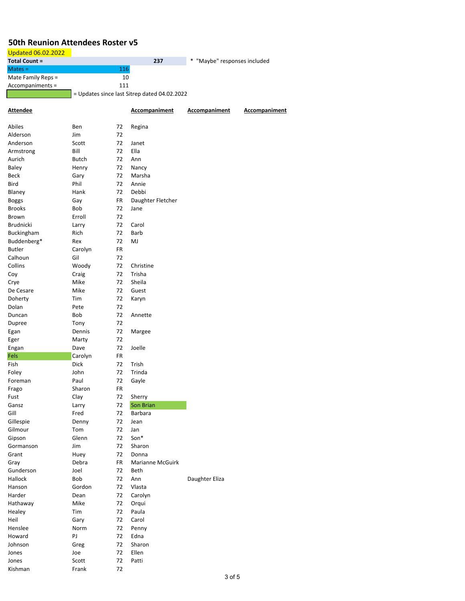### **50th Reunion Attendees Roster v5**

## Updated 06.02.2022

| <b>Total Count =</b> |     | 237 | * "Maybe" responses included |
|----------------------|-----|-----|------------------------------|
| $Mates =$            | 116 |     |                              |
| Mate Family Reps $=$ | 10  |     |                              |
| Accompaniments =     | 111 |     |                              |
|                      |     | .   |                              |

= Updates since last Sitrep dated 04.02.2022

| <b>Attendee</b>  |                 |          | <b>Accompaniment</b> | <b>Accompaniment</b> | <b>Accompaniment</b> |
|------------------|-----------------|----------|----------------------|----------------------|----------------------|
| Abiles           | Ben             | 72       | Regina               |                      |                      |
| Alderson         | Jim             | 72       |                      |                      |                      |
| Anderson         | Scott           | 72       | Janet                |                      |                      |
| Armstrong        | Bill            | 72       | Ella                 |                      |                      |
| Aurich           | Butch           | 72       | Ann                  |                      |                      |
| Baley            | Henry           | 72       | Nancy                |                      |                      |
| Beck             | Gary            | 72       | Marsha               |                      |                      |
| Bird             | Phil            | 72       | Annie                |                      |                      |
| Blaney           | Hank            | 72       | Debbi                |                      |                      |
| <b>Boggs</b>     | Gay             | FR       | Daughter Fletcher    |                      |                      |
| <b>Brooks</b>    | Bob             | 72       | Jane                 |                      |                      |
| Brown            | Erroll          | 72       |                      |                      |                      |
| <b>Brudnicki</b> | Larry           | 72       | Carol                |                      |                      |
| Buckingham       | Rich            | 72       | Barb                 |                      |                      |
| Buddenberg*      | Rex             | 72       | MJ                   |                      |                      |
| <b>Butler</b>    | Carolyn         | FR       |                      |                      |                      |
| Calhoun          | Gil             | 72       |                      |                      |                      |
| Collins          | Woody           | 72       | Christine            |                      |                      |
| Coy              | Craig           | 72       | Trisha               |                      |                      |
| Crye             | Mike            | 72       | Sheila               |                      |                      |
| De Cesare        | Mike            | 72       | Guest                |                      |                      |
| Doherty          | Tim             | 72       | Karyn                |                      |                      |
| Dolan            | Pete            | 72       |                      |                      |                      |
| Duncan           | Bob             | 72       | Annette              |                      |                      |
| Dupree           | Tony            | 72       |                      |                      |                      |
| Egan             | Dennis          | 72       | Margee               |                      |                      |
| Eger             | Marty           | 72<br>72 |                      |                      |                      |
| Engan<br>Fels    | Dave<br>Carolyn | FR       | Joelle               |                      |                      |
| Fish             | <b>Dick</b>     | 72       | Trish                |                      |                      |
| Foley            | John            | 72       | Trinda               |                      |                      |
| Foreman          | Paul            | 72       | Gayle                |                      |                      |
| Frago            | Sharon          | FR       |                      |                      |                      |
| Fust             | Clay            | 72       | Sherry               |                      |                      |
| Gansz            | Larry           | 72       | Son Brian            |                      |                      |
| Gill             | Fred            | 72       | Barbara              |                      |                      |
| Gillespie        | Denny           | 72       | Jean                 |                      |                      |
| Gilmour          | Tom             | 72       | Jan                  |                      |                      |
| Gipson           | Glenn           | 72       | Son*                 |                      |                      |
| Gormanson        | Jim             | 72       | Sharon               |                      |                      |
| Grant            | Huey            | 72       | Donna                |                      |                      |
| Gray             | Debra           | FR       | Marianne McGuirk     |                      |                      |
| Gunderson        | Joel            | 72       | Beth                 |                      |                      |
| Hallock          | Bob             | 72       | Ann                  | Daughter Eliza       |                      |
| Hanson           | Gordon          | 72       | Vlasta               |                      |                      |
| Harder           | Dean            | 72       | Carolyn              |                      |                      |
| Hathaway         | Mike            | 72       | Orqui                |                      |                      |
| Healey           | Tim             | 72       | Paula                |                      |                      |
| Heil             | Gary            | 72       | Carol                |                      |                      |
| Henslee          | Norm            | 72       | Penny                |                      |                      |
| Howard           | PJ              | 72       | Edna                 |                      |                      |
| Johnson          | Greg            | 72       | Sharon               |                      |                      |
| Jones            | Joe             | 72       | Ellen                |                      |                      |
| Jones            | Scott           | 72       | Patti                |                      |                      |
| Kishman          | Frank           | 72       |                      |                      |                      |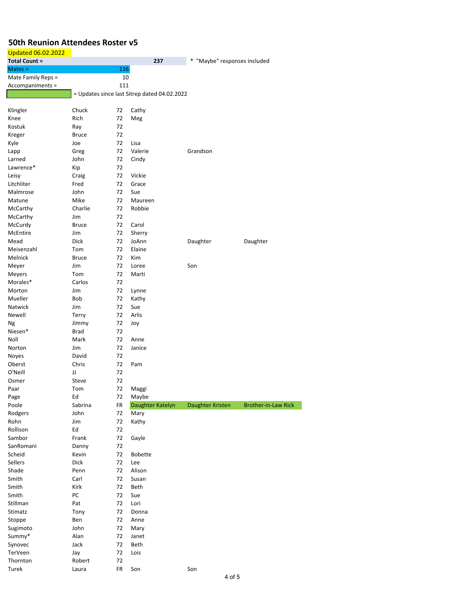## **50th Reunion Attendees Roster v5**

| <b>Updated 06.02.2022</b> |              |     |                                              |                              |                            |
|---------------------------|--------------|-----|----------------------------------------------|------------------------------|----------------------------|
| <b>Total Count =</b>      |              |     | 237                                          | * "Maybe" responses included |                            |
| $Mates =$                 |              | 116 |                                              |                              |                            |
| Mate Family Reps =        |              | 10  |                                              |                              |                            |
| Accompaniments =          |              | 111 |                                              |                              |                            |
|                           |              |     | = Updates since last Sitrep dated 04.02.2022 |                              |                            |
|                           |              |     |                                              |                              |                            |
| Klingler                  | Chuck        | 72  | Cathy                                        |                              |                            |
| Knee                      | Rich         | 72  | Meg                                          |                              |                            |
| Kostuk                    | Ray          | 72  |                                              |                              |                            |
| Kreger                    | <b>Bruce</b> | 72  |                                              |                              |                            |
| Kyle                      | Joe          | 72  | Lisa                                         |                              |                            |
| Lapp                      | Greg         | 72  | Valerie                                      | Grandson                     |                            |
| Larned                    | John         | 72  | Cindy                                        |                              |                            |
| Lawrence*                 | Kip          | 72  |                                              |                              |                            |
| Leisy                     | Craig        | 72  | Vickie                                       |                              |                            |
| Litchliter                | Fred         | 72  | Grace                                        |                              |                            |
| Malmrose                  | John         | 72  | Sue                                          |                              |                            |
| Matune                    | Mike         | 72  | Maureen                                      |                              |                            |
| McCarthy                  | Charlie      | 72  | Robbie                                       |                              |                            |
| McCarthy                  | Jim          | 72  |                                              |                              |                            |
| McCurdy                   | <b>Bruce</b> | 72  | Carol                                        |                              |                            |
| McEntire                  | Jim          | 72  | Sherry                                       |                              |                            |
| Mead                      | Dick         | 72  | JoAnn                                        | Daughter                     | Daughter                   |
| Meisenzahl                | Tom          | 72  | Elaine                                       |                              |                            |
| Melnick                   | <b>Bruce</b> | 72  | Kim                                          |                              |                            |
| Meyer                     | Jim          | 72  | Loree                                        | Son                          |                            |
| Meyers                    | Tom          | 72  | Marti                                        |                              |                            |
| Morales*                  | Carlos       | 72  |                                              |                              |                            |
| Morton                    | Jim          | 72  | Lynne                                        |                              |                            |
| Mueller                   | Bob          | 72  | Kathy                                        |                              |                            |
| Natwick                   | Jim          | 72  | Sue                                          |                              |                            |
| Newell                    | Terry        | 72  | Arlis                                        |                              |                            |
| Ng                        | Jimmy        | 72  | Joy                                          |                              |                            |
| Niesen*                   | Brad         | 72  |                                              |                              |                            |
| Noll                      | Mark         | 72  | Anne                                         |                              |                            |
| Norton                    | Jim          | 72  | Janice                                       |                              |                            |
| Noyes                     | David        | 72  |                                              |                              |                            |
| Oberst                    | Chris        | 72  | Pam                                          |                              |                            |
| O'Neill                   | JJ           | 72  |                                              |                              |                            |
| Osmer                     | Steve        | 72  |                                              |                              |                            |
| Paar                      | Tom          | 72  | Maggi                                        |                              |                            |
| Page                      | Ed           | 72  | Maybe                                        |                              |                            |
| Poole                     | Sabrina      | FR  | Daughter Katelyn                             | Daughter Kristen             | <b>Brother-in-Law Rick</b> |
| Rodgers                   | John         | 72  | Mary                                         |                              |                            |
| Rohn                      | Jim          | 72  | Kathy                                        |                              |                            |
| Rollison                  | Ed           | 72  |                                              |                              |                            |
| Sambor                    | Frank        | 72  | Gayle                                        |                              |                            |
| SanRomani                 | Danny        | 72  |                                              |                              |                            |
| Scheid                    | Kevin        | 72  | <b>Bobette</b>                               |                              |                            |
| Sellers                   | Dick         | 72  | Lee                                          |                              |                            |
| Shade                     | Penn         | 72  | Alison                                       |                              |                            |
| Smith                     | Carl         | 72  | Susan                                        |                              |                            |
| Smith                     | Kirk         | 72  | Beth                                         |                              |                            |
| Smith                     | PC           | 72  | Sue                                          |                              |                            |
| Stillman                  | Pat          | 72  | Lori                                         |                              |                            |
| Stimatz                   | Tony         | 72  | Donna                                        |                              |                            |
| Stoppe                    | Ben          | 72  | Anne                                         |                              |                            |
| Sugimoto                  | John         | 72  | Mary                                         |                              |                            |
| Summy*                    | Alan         | 72  | Janet                                        |                              |                            |
| Synovec                   | Jack         | 72  | Beth                                         |                              |                            |
| TerVeen                   | Jay          | 72  | Lois                                         |                              |                            |
| Thornton                  | Robert       | 72  |                                              |                              |                            |
| Turek                     | Laura        | FR  | Son                                          | Son                          |                            |